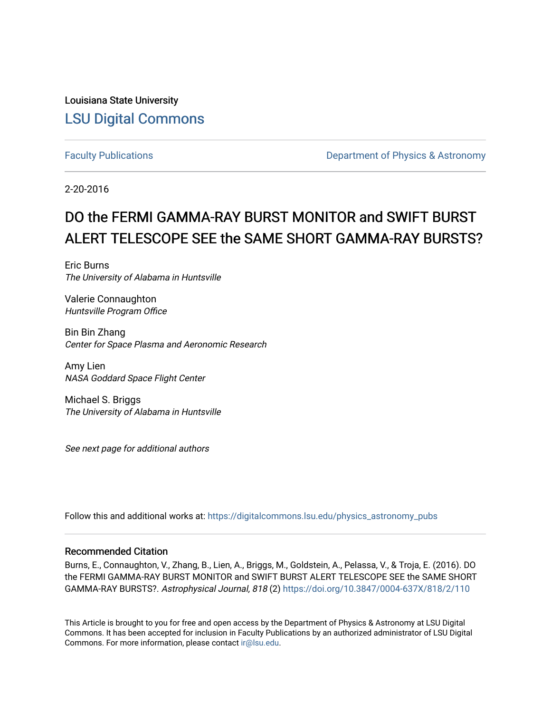Louisiana State University [LSU Digital Commons](https://digitalcommons.lsu.edu/)

[Faculty Publications](https://digitalcommons.lsu.edu/physics_astronomy_pubs) **Exercise 2 and Table 2 and Table 2 and Table 2 and Table 2 and Table 2 and Table 2 and Table 2 and Table 2 and Table 2 and Table 2 and Table 2 and Table 2 and Table 2 and Table 2 and Table 2 and Table** 

2-20-2016

# DO the FERMI GAMMA-RAY BURST MONITOR and SWIFT BURST ALERT TELESCOPE SEE the SAME SHORT GAMMA-RAY BURSTS?

Eric Burns The University of Alabama in Huntsville

Valerie Connaughton Huntsville Program Office

Bin Bin Zhang Center for Space Plasma and Aeronomic Research

Amy Lien NASA Goddard Space Flight Center

Michael S. Briggs The University of Alabama in Huntsville

See next page for additional authors

Follow this and additional works at: [https://digitalcommons.lsu.edu/physics\\_astronomy\\_pubs](https://digitalcommons.lsu.edu/physics_astronomy_pubs?utm_source=digitalcommons.lsu.edu%2Fphysics_astronomy_pubs%2F593&utm_medium=PDF&utm_campaign=PDFCoverPages) 

## Recommended Citation

Burns, E., Connaughton, V., Zhang, B., Lien, A., Briggs, M., Goldstein, A., Pelassa, V., & Troja, E. (2016). DO the FERMI GAMMA-RAY BURST MONITOR and SWIFT BURST ALERT TELESCOPE SEE the SAME SHORT GAMMA-RAY BURSTS?. Astrophysical Journal, 818 (2) <https://doi.org/10.3847/0004-637X/818/2/110>

This Article is brought to you for free and open access by the Department of Physics & Astronomy at LSU Digital Commons. It has been accepted for inclusion in Faculty Publications by an authorized administrator of LSU Digital Commons. For more information, please contact [ir@lsu.edu](mailto:ir@lsu.edu).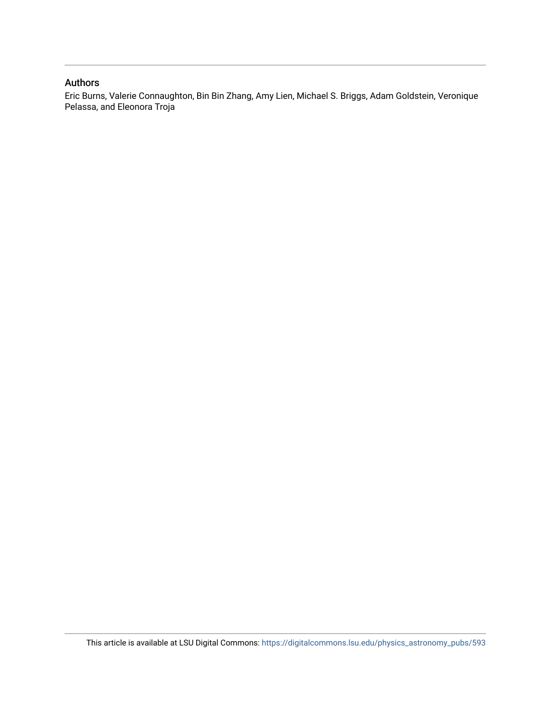## Authors

Eric Burns, Valerie Connaughton, Bin Bin Zhang, Amy Lien, Michael S. Briggs, Adam Goldstein, Veronique Pelassa, and Eleonora Troja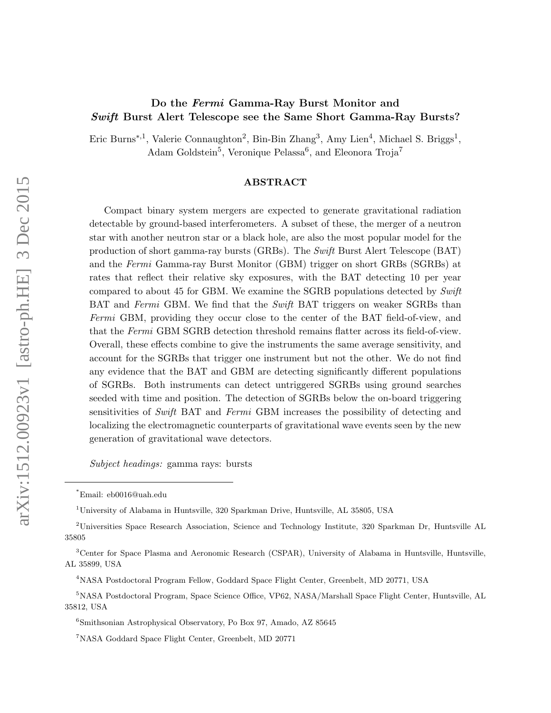# Do the Fermi Gamma-Ray Burst Monitor and Swift Burst Alert Telescope see the Same Short Gamma-Ray Bursts?

Eric Burns<sup>∗,1</sup>, Valerie Connaughton<sup>2</sup>, Bin-Bin Zhang<sup>3</sup>, Amy Lien<sup>4</sup>, Michael S. Briggs<sup>1</sup>, Adam Goldstein<sup>5</sup>, Veronique Pelassa<sup>6</sup>, and Eleonora Troja<sup>7</sup>

#### ABSTRACT

Compact binary system mergers are expected to generate gravitational radiation detectable by ground-based interferometers. A subset of these, the merger of a neutron star with another neutron star or a black hole, are also the most popular model for the production of short gamma-ray bursts (GRBs). The Swift Burst Alert Telescope (BAT) and the Fermi Gamma-ray Burst Monitor (GBM) trigger on short GRBs (SGRBs) at rates that reflect their relative sky exposures, with the BAT detecting 10 per year compared to about 45 for GBM. We examine the SGRB populations detected by Swift BAT and Fermi GBM. We find that the Swift BAT triggers on weaker SGRBs than Fermi GBM, providing they occur close to the center of the BAT field-of-view, and that the Fermi GBM SGRB detection threshold remains flatter across its field-of-view. Overall, these effects combine to give the instruments the same average sensitivity, and account for the SGRBs that trigger one instrument but not the other. We do not find any evidence that the BAT and GBM are detecting significantly different populations of SGRBs. Both instruments can detect untriggered SGRBs using ground searches seeded with time and position. The detection of SGRBs below the on-board triggering sensitivities of Swift BAT and Fermi GBM increases the possibility of detecting and localizing the electromagnetic counterparts of gravitational wave events seen by the new generation of gravitational wave detectors.

Subject headings: gamma rays: bursts

<sup>\*</sup>Email: eb0016@uah.edu

<sup>1</sup>University of Alabama in Huntsville, 320 Sparkman Drive, Huntsville, AL 35805, USA

<sup>2</sup>Universities Space Research Association, Science and Technology Institute, 320 Sparkman Dr, Huntsville AL 35805

<sup>3</sup>Center for Space Plasma and Aeronomic Research (CSPAR), University of Alabama in Huntsville, Huntsville, AL 35899, USA

<sup>4</sup>NASA Postdoctoral Program Fellow, Goddard Space Flight Center, Greenbelt, MD 20771, USA

<sup>5</sup>NASA Postdoctoral Program, Space Science Office, VP62, NASA/Marshall Space Flight Center, Huntsville, AL 35812, USA

 $6$ Smithsonian Astrophysical Observatory, Po Box 97, Amado, AZ 85645

<sup>7</sup>NASA Goddard Space Flight Center, Greenbelt, MD 20771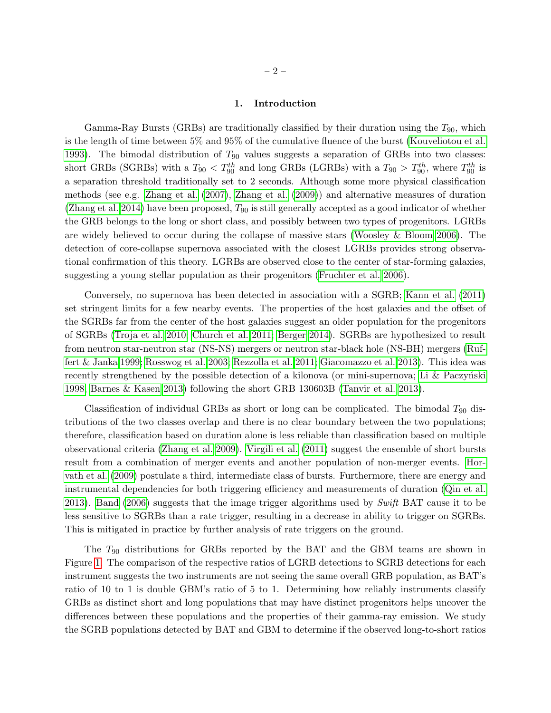#### 1. Introduction

Gamma-Ray Bursts (GRBs) are traditionally classified by their duration using the  $T_{90}$ , which is the length of time between 5% and 95% of the cumulative fluence of the burst [\(Kouveliotou et al.](#page-21-0) [1993\)](#page-21-0). The bimodal distribution of  $T_{90}$  values suggests a separation of GRBs into two classes: short GRBs (SGRBs) with a  $T_{90} < T_{90}^{th}$  and long GRBs (LGRBs) with a  $T_{90} > T_{90}^{th}$ , where  $T_{90}^{th}$  is a separation threshold traditionally set to 2 seconds. Although some more physical classification methods (see e.g. [Zhang et al.](#page-22-0) [\(2007\)](#page-22-0), [Zhang et al.](#page-22-1) [\(2009\)](#page-22-1)) and alternative measures of duration [\(Zhang et al. 2014\)](#page-22-2) have been proposed,  $T_{90}$  is still generally accepted as a good indicator of whether the GRB belongs to the long or short class, and possibly between two types of progenitors. LGRBs are widely believed to occur during the collapse of massive stars [\(Woosley & Bloom 2006\)](#page-22-3). The detection of core-collapse supernova associated with the closest LGRBs provides strong observational confirmation of this theory. LGRBs are observed close to the center of star-forming galaxies, suggesting a young stellar population as their progenitors [\(Fruchter et al. 2006\)](#page-21-1).

Conversely, no supernova has been detected in association with a SGRB; [Kann et al.](#page-21-2) [\(2011\)](#page-21-2) set stringent limits for a few nearby events. The properties of the host galaxies and the offset of the SGRBs far from the center of the host galaxies suggest an older population for the progenitors of SGRBs [\(Troja et al. 2010;](#page-22-4) [Church et al. 2011;](#page-21-3) [Berger 2014\)](#page-21-4). SGRBs are hypothesized to result from neutron star-neutron star (NS-NS) mergers or neutron star-black hole (NS-BH) mergers [\(Ruf](#page-21-5)[fert & Janka 1999;](#page-21-5) [Rosswog et al. 2003;](#page-21-6) [Rezzolla et al. 2011;](#page-21-7) [Giacomazzo et al. 2013\)](#page-21-8). This idea was recently strengthened by the possible detection of a kilonova (or mini-supernova; Li  $\&$  Paczynski [1998,](#page-21-9) [Barnes & Kasen 2013\)](#page-21-10) following the short GRB 130603B [\(Tanvir et al. 2013\)](#page-22-5).

Classification of individual GRBs as short or long can be complicated. The bimodal  $T_{90}$  distributions of the two classes overlap and there is no clear boundary between the two populations; therefore, classification based on duration alone is less reliable than classification based on multiple observational criteria [\(Zhang et al. 2009\)](#page-22-1). [Virgili et al.](#page-22-6) [\(2011\)](#page-22-6) suggest the ensemble of short bursts result from a combination of merger events and another population of non-merger events. [Hor](#page-21-11)[vath et al.](#page-21-11) [\(2009\)](#page-21-11) postulate a third, intermediate class of bursts. Furthermore, there are energy and instrumental dependencies for both triggering efficiency and measurements of duration [\(Qin et al.](#page-22-7) [2013\)](#page-22-7). [Band](#page-21-12) [\(2006\)](#page-21-12) suggests that the image trigger algorithms used by Swift BAT cause it to be less sensitive to SGRBs than a rate trigger, resulting in a decrease in ability to trigger on SGRBs. This is mitigated in practice by further analysis of rate triggers on the ground.

The  $T_{90}$  distributions for GRBs reported by the BAT and the GBM teams are shown in Figure [1.](#page-16-0) The comparison of the respective ratios of LGRB detections to SGRB detections for each instrument suggests the two instruments are not seeing the same overall GRB population, as BAT's ratio of 10 to 1 is double GBM's ratio of 5 to 1. Determining how reliably instruments classify GRBs as distinct short and long populations that may have distinct progenitors helps uncover the differences between these populations and the properties of their gamma-ray emission. We study the SGRB populations detected by BAT and GBM to determine if the observed long-to-short ratios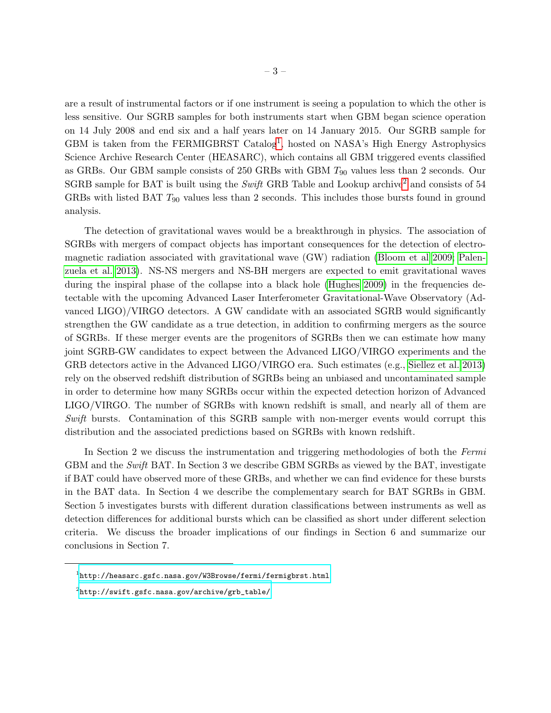are a result of instrumental factors or if one instrument is seeing a population to which the other is less sensitive. Our SGRB samples for both instruments start when GBM began science operation on 14 July 2008 and end six and a half years later on 14 January 2015. Our SGRB sample for GBM is taken from the FERMIGBRST Catalog<sup>[1](#page-4-0)</sup>, hosted on NASA's High Energy Astrophysics Science Archive Research Center (HEASARC), which contains all GBM triggered events classified as GRBs. Our GBM sample consists of 250 GRBs with GBM  $T_{90}$  values less than 2 seconds. Our SGRB sample for BAT is built using the Swift GRB Table and Lookup archive<sup>[2](#page-4-1)</sup> and consists of 54 GRBs with listed BAT  $T_{90}$  values less than 2 seconds. This includes those bursts found in ground analysis.

The detection of gravitational waves would be a breakthrough in physics. The association of SGRBs with mergers of compact objects has important consequences for the detection of electromagnetic radiation associated with gravitational wave (GW) radiation [\(Bloom et al 2009;](#page-21-13) [Palen](#page-21-14)[zuela et al. 2013\)](#page-21-14). NS-NS mergers and NS-BH mergers are expected to emit gravitational waves during the inspiral phase of the collapse into a black hole [\(Hughes 2009\)](#page-21-15) in the frequencies detectable with the upcoming Advanced Laser Interferometer Gravitational-Wave Observatory (Advanced LIGO)/VIRGO detectors. A GW candidate with an associated SGRB would significantly strengthen the GW candidate as a true detection, in addition to confirming mergers as the source of SGRBs. If these merger events are the progenitors of SGRBs then we can estimate how many joint SGRB-GW candidates to expect between the Advanced LIGO/VIRGO experiments and the GRB detectors active in the Advanced LIGO/VIRGO era. Such estimates (e.g., [Siellez et al. 2013\)](#page-21-16) rely on the observed redshift distribution of SGRBs being an unbiased and uncontaminated sample in order to determine how many SGRBs occur within the expected detection horizon of Advanced LIGO/VIRGO. The number of SGRBs with known redshift is small, and nearly all of them are Swift bursts. Contamination of this SGRB sample with non-merger events would corrupt this distribution and the associated predictions based on SGRBs with known redshift.

In Section 2 we discuss the instrumentation and triggering methodologies of both the Fermi GBM and the Swift BAT. In Section 3 we describe GBM SGRBs as viewed by the BAT, investigate if BAT could have observed more of these GRBs, and whether we can find evidence for these bursts in the BAT data. In Section 4 we describe the complementary search for BAT SGRBs in GBM. Section 5 investigates bursts with different duration classifications between instruments as well as detection differences for additional bursts which can be classified as short under different selection criteria. We discuss the broader implications of our findings in Section 6 and summarize our conclusions in Section 7.

<span id="page-4-0"></span> $^{\rm 1}$ <http://heasarc.gsfc.nasa.gov/W3Browse/fermi/fermigbrst.html>

<span id="page-4-1"></span> $^2$ [http://swift.gsfc.nasa.gov/archive/grb\\_table/](http://swift.gsfc.nasa.gov/archive/grb_table/)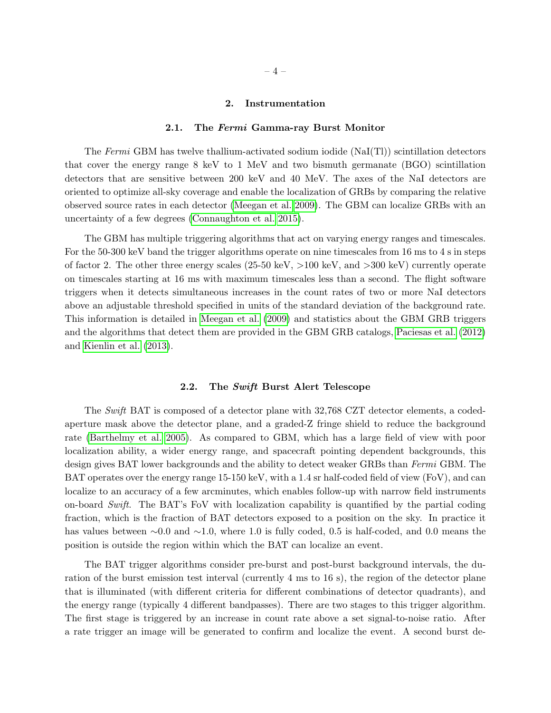#### 2. Instrumentation

#### 2.1. The Fermi Gamma-ray Burst Monitor

The Fermi GBM has twelve thallium-activated sodium iodide  $(NaI(Tl))$  scintillation detectors that cover the energy range 8 keV to 1 MeV and two bismuth germanate (BGO) scintillation detectors that are sensitive between 200 keV and 40 MeV. The axes of the NaI detectors are oriented to optimize all-sky coverage and enable the localization of GRBs by comparing the relative observed source rates in each detector [\(Meegan et al. 2009\)](#page-21-17). The GBM can localize GRBs with an uncertainty of a few degrees [\(Connaughton et al. 2015\)](#page-21-18).

The GBM has multiple triggering algorithms that act on varying energy ranges and timescales. For the 50-300 keV band the trigger algorithms operate on nine timescales from 16 ms to 4 s in steps of factor 2. The other three energy scales (25-50 keV, >100 keV, and >300 keV) currently operate on timescales starting at 16 ms with maximum timescales less than a second. The flight software triggers when it detects simultaneous increases in the count rates of two or more NaI detectors above an adjustable threshold specified in units of the standard deviation of the background rate. This information is detailed in [Meegan et al.](#page-21-17) [\(2009\)](#page-21-17) and statistics about the GBM GRB triggers and the algorithms that detect them are provided in the GBM GRB catalogs, [Paciesas et al.](#page-21-19) [\(2012\)](#page-21-19) and [Kienlin et al.](#page-21-20) [\(2013\)](#page-21-20).

#### 2.2. The Swift Burst Alert Telescope

The Swift BAT is composed of a detector plane with 32,768 CZT detector elements, a codedaperture mask above the detector plane, and a graded-Z fringe shield to reduce the background rate [\(Barthelmy et al. 2005\)](#page-21-21). As compared to GBM, which has a large field of view with poor localization ability, a wider energy range, and spacecraft pointing dependent backgrounds, this design gives BAT lower backgrounds and the ability to detect weaker GRBs than Fermi GBM. The BAT operates over the energy range 15-150 keV, with a 1.4 sr half-coded field of view (FoV), and can localize to an accuracy of a few arcminutes, which enables follow-up with narrow field instruments on-board Swift. The BAT's FoV with localization capability is quantified by the partial coding fraction, which is the fraction of BAT detectors exposed to a position on the sky. In practice it has values between ∼0.0 and ∼1.0, where 1.0 is fully coded, 0.5 is half-coded, and 0.0 means the position is outside the region within which the BAT can localize an event.

The BAT trigger algorithms consider pre-burst and post-burst background intervals, the duration of the burst emission test interval (currently 4 ms to 16 s), the region of the detector plane that is illuminated (with different criteria for different combinations of detector quadrants), and the energy range (typically 4 different bandpasses). There are two stages to this trigger algorithm. The first stage is triggered by an increase in count rate above a set signal-to-noise ratio. After a rate trigger an image will be generated to confirm and localize the event. A second burst de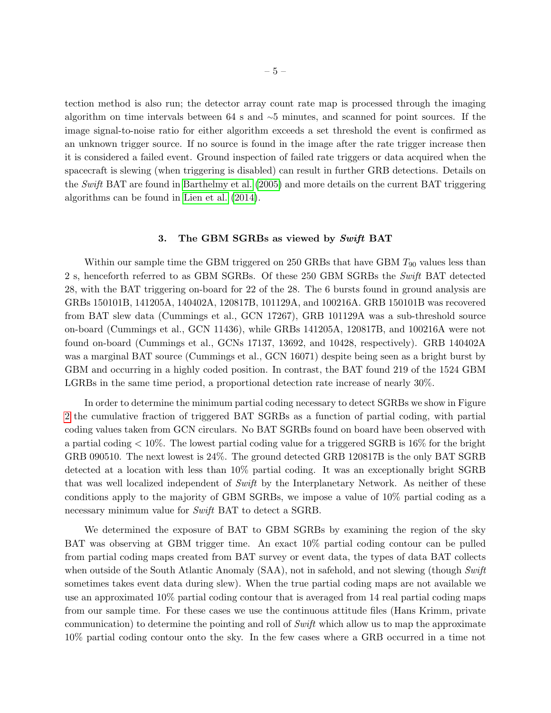tection method is also run; the detector array count rate map is processed through the imaging algorithm on time intervals between 64 s and ∼5 minutes, and scanned for point sources. If the image signal-to-noise ratio for either algorithm exceeds a set threshold the event is confirmed as an unknown trigger source. If no source is found in the image after the rate trigger increase then it is considered a failed event. Ground inspection of failed rate triggers or data acquired when the spacecraft is slewing (when triggering is disabled) can result in further GRB detections. Details on the Swift BAT are found in [Barthelmy et al.](#page-21-21) [\(2005\)](#page-21-21) and more details on the current BAT triggering algorithms can be found in [Lien et al.](#page-21-22) [\(2014\)](#page-21-22).

## 3. The GBM SGRBs as viewed by Swift BAT

Within our sample time the GBM triggered on 250 GRBs that have GBM  $T_{90}$  values less than 2 s, henceforth referred to as GBM SGRBs. Of these 250 GBM SGRBs the Swift BAT detected 28, with the BAT triggering on-board for 22 of the 28. The 6 bursts found in ground analysis are GRBs 150101B, 141205A, 140402A, 120817B, 101129A, and 100216A. GRB 150101B was recovered from BAT slew data (Cummings et al., GCN 17267), GRB 101129A was a sub-threshold source on-board (Cummings et al., GCN 11436), while GRBs 141205A, 120817B, and 100216A were not found on-board (Cummings et al., GCNs 17137, 13692, and 10428, respectively). GRB 140402A was a marginal BAT source (Cummings et al., GCN 16071) despite being seen as a bright burst by GBM and occurring in a highly coded position. In contrast, the BAT found 219 of the 1524 GBM LGRBs in the same time period, a proportional detection rate increase of nearly 30%.

In order to determine the minimum partial coding necessary to detect SGRBs we show in Figure [2](#page-16-1) the cumulative fraction of triggered BAT SGRBs as a function of partial coding, with partial coding values taken from GCN circulars. No BAT SGRBs found on board have been observed with a partial coding  $< 10\%$ . The lowest partial coding value for a triggered SGRB is 16% for the bright GRB 090510. The next lowest is 24%. The ground detected GRB 120817B is the only BAT SGRB detected at a location with less than 10% partial coding. It was an exceptionally bright SGRB that was well localized independent of Swift by the Interplanetary Network. As neither of these conditions apply to the majority of GBM SGRBs, we impose a value of 10% partial coding as a necessary minimum value for *Swift* BAT to detect a SGRB.

We determined the exposure of BAT to GBM SGRBs by examining the region of the sky BAT was observing at GBM trigger time. An exact 10% partial coding contour can be pulled from partial coding maps created from BAT survey or event data, the types of data BAT collects when outside of the South Atlantic Anomaly (SAA), not in safehold, and not slewing (though Swift sometimes takes event data during slew). When the true partial coding maps are not available we use an approximated 10% partial coding contour that is averaged from 14 real partial coding maps from our sample time. For these cases we use the continuous attitude files (Hans Krimm, private communication) to determine the pointing and roll of Swift which allow us to map the approximate 10% partial coding contour onto the sky. In the few cases where a GRB occurred in a time not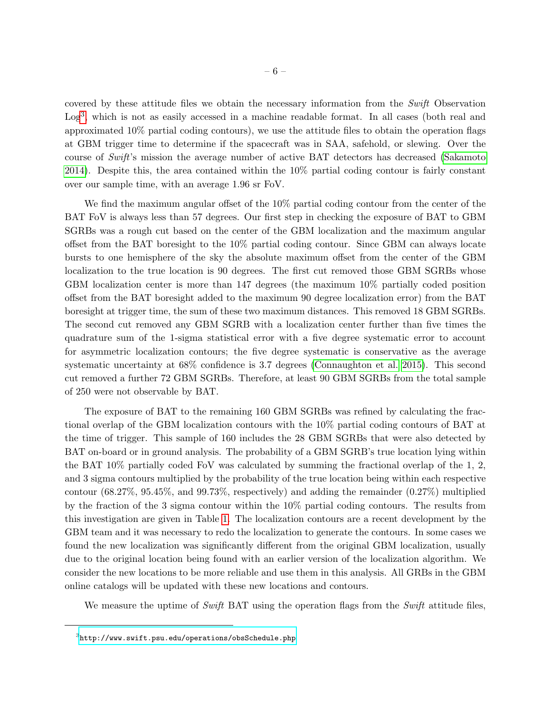covered by these attitude files we obtain the necessary information from the Swift Observation Log<sup>[3](#page-7-0)</sup>, which is not as easily accessed in a machine readable format. In all cases (both real and approximated 10% partial coding contours), we use the attitude files to obtain the operation flags at GBM trigger time to determine if the spacecraft was in SAA, safehold, or slewing. Over the course of Swift's mission the average number of active BAT detectors has decreased [\(Sakamoto](#page-22-8) [2014\)](#page-22-8). Despite this, the area contained within the 10% partial coding contour is fairly constant over our sample time, with an average 1.96 sr FoV.

We find the maximum angular offset of the 10% partial coding contour from the center of the BAT FoV is always less than 57 degrees. Our first step in checking the exposure of BAT to GBM SGRBs was a rough cut based on the center of the GBM localization and the maximum angular offset from the BAT boresight to the 10% partial coding contour. Since GBM can always locate bursts to one hemisphere of the sky the absolute maximum offset from the center of the GBM localization to the true location is 90 degrees. The first cut removed those GBM SGRBs whose GBM localization center is more than 147 degrees (the maximum 10% partially coded position offset from the BAT boresight added to the maximum 90 degree localization error) from the BAT boresight at trigger time, the sum of these two maximum distances. This removed 18 GBM SGRBs. The second cut removed any GBM SGRB with a localization center further than five times the quadrature sum of the 1-sigma statistical error with a five degree systematic error to account for asymmetric localization contours; the five degree systematic is conservative as the average systematic uncertainty at 68% confidence is 3.7 degrees [\(Connaughton et al. 2015\)](#page-21-18). This second cut removed a further 72 GBM SGRBs. Therefore, at least 90 GBM SGRBs from the total sample of 250 were not observable by BAT.

The exposure of BAT to the remaining 160 GBM SGRBs was refined by calculating the fractional overlap of the GBM localization contours with the 10% partial coding contours of BAT at the time of trigger. This sample of 160 includes the 28 GBM SGRBs that were also detected by BAT on-board or in ground analysis. The probability of a GBM SGRB's true location lying within the BAT 10% partially coded FoV was calculated by summing the fractional overlap of the 1, 2, and 3 sigma contours multiplied by the probability of the true location being within each respective contour (68.27%, 95.45%, and 99.73%, respectively) and adding the remainder (0.27%) multiplied by the fraction of the 3 sigma contour within the 10% partial coding contours. The results from this investigation are given in Table [1.](#page-17-0) The localization contours are a recent development by the GBM team and it was necessary to redo the localization to generate the contours. In some cases we found the new localization was significantly different from the original GBM localization, usually due to the original location being found with an earlier version of the localization algorithm. We consider the new locations to be more reliable and use them in this analysis. All GRBs in the GBM online catalogs will be updated with these new locations and contours.

We measure the uptime of Swift BAT using the operation flags from the Swift attitude files,

<span id="page-7-0"></span> $^3$ http://www.swift.psu.edu/operations/obs ${\tt Schedule}$ .php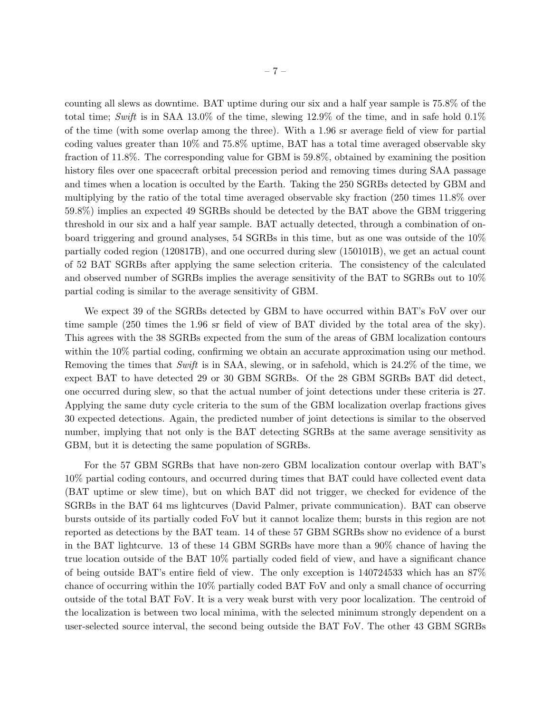counting all slews as downtime. BAT uptime during our six and a half year sample is 75.8% of the total time; Swift is in SAA 13.0% of the time, slewing  $12.9\%$  of the time, and in safe hold  $0.1\%$ of the time (with some overlap among the three). With a 1.96 sr average field of view for partial coding values greater than 10% and 75.8% uptime, BAT has a total time averaged observable sky fraction of 11.8%. The corresponding value for GBM is 59.8%, obtained by examining the position history files over one spacecraft orbital precession period and removing times during SAA passage and times when a location is occulted by the Earth. Taking the 250 SGRBs detected by GBM and multiplying by the ratio of the total time averaged observable sky fraction (250 times 11.8% over 59.8%) implies an expected 49 SGRBs should be detected by the BAT above the GBM triggering threshold in our six and a half year sample. BAT actually detected, through a combination of onboard triggering and ground analyses, 54 SGRBs in this time, but as one was outside of the 10% partially coded region (120817B), and one occurred during slew (150101B), we get an actual count of 52 BAT SGRBs after applying the same selection criteria. The consistency of the calculated and observed number of SGRBs implies the average sensitivity of the BAT to SGRBs out to 10% partial coding is similar to the average sensitivity of GBM.

We expect 39 of the SGRBs detected by GBM to have occurred within BAT's FoV over our time sample (250 times the 1.96 sr field of view of BAT divided by the total area of the sky). This agrees with the 38 SGRBs expected from the sum of the areas of GBM localization contours within the 10% partial coding, confirming we obtain an accurate approximation using our method. Removing the times that  $Swift$  is in SAA, slewing, or in safehold, which is 24.2% of the time, we expect BAT to have detected 29 or 30 GBM SGRBs. Of the 28 GBM SGRBs BAT did detect, one occurred during slew, so that the actual number of joint detections under these criteria is 27. Applying the same duty cycle criteria to the sum of the GBM localization overlap fractions gives 30 expected detections. Again, the predicted number of joint detections is similar to the observed number, implying that not only is the BAT detecting SGRBs at the same average sensitivity as GBM, but it is detecting the same population of SGRBs.

For the 57 GBM SGRBs that have non-zero GBM localization contour overlap with BAT's 10% partial coding contours, and occurred during times that BAT could have collected event data (BAT uptime or slew time), but on which BAT did not trigger, we checked for evidence of the SGRBs in the BAT 64 ms lightcurves (David Palmer, private communication). BAT can observe bursts outside of its partially coded FoV but it cannot localize them; bursts in this region are not reported as detections by the BAT team. 14 of these 57 GBM SGRBs show no evidence of a burst in the BAT lightcurve. 13 of these 14 GBM SGRBs have more than a 90% chance of having the true location outside of the BAT 10% partially coded field of view, and have a significant chance of being outside BAT's entire field of view. The only exception is 140724533 which has an 87% chance of occurring within the 10% partially coded BAT FoV and only a small chance of occurring outside of the total BAT FoV. It is a very weak burst with very poor localization. The centroid of the localization is between two local minima, with the selected minimum strongly dependent on a user-selected source interval, the second being outside the BAT FoV. The other 43 GBM SGRBs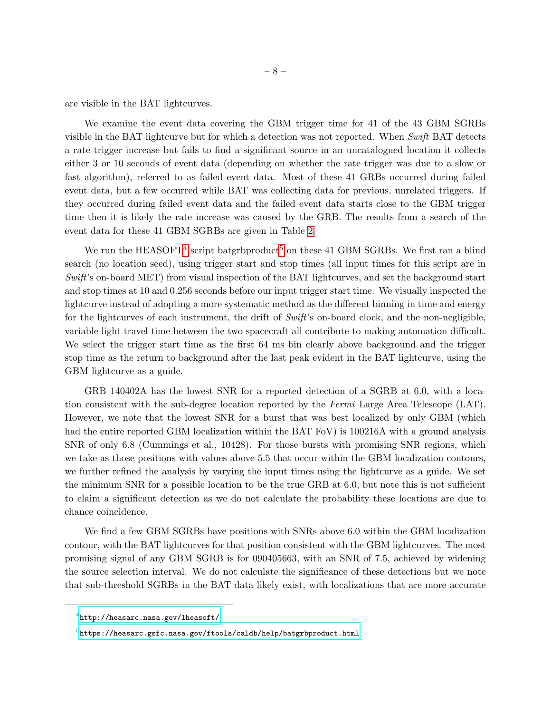are visible in the BAT lightcurves.

We examine the event data covering the GBM trigger time for 41 of the 43 GBM SGRBs visible in the BAT lightcurve but for which a detection was not reported. When Swift BAT detects a rate trigger increase but fails to find a significant source in an uncatalogued location it collects either 3 or 10 seconds of event data (depending on whether the rate trigger was due to a slow or fast algorithm), referred to as failed event data. Most of these 41 GRBs occurred during failed event data, but a few occurred while BAT was collecting data for previous, unrelated triggers. If they occurred during failed event data and the failed event data starts close to the GBM trigger time then it is likely the rate increase was caused by the GRB. The results from a search of the event data for these 41 GBM SGRBs are given in Table [2.](#page-18-0)

We run the HEASOFT<sup>[4](#page-9-0)</sup> script batgrbproduct<sup>[5](#page-9-1)</sup> on these 41 GBM SGRBs. We first ran a blind search (no location seed), using trigger start and stop times (all input times for this script are in Swift's on-board MET) from visual inspection of the BAT lightcurves, and set the background start and stop times at 10 and 0.256 seconds before our input trigger start time. We visually inspected the lightcurve instead of adopting a more systematic method as the different binning in time and energy for the lightcurves of each instrument, the drift of Swift's on-board clock, and the non-negligible, variable light travel time between the two spacecraft all contribute to making automation difficult. We select the trigger start time as the first 64 ms bin clearly above background and the trigger stop time as the return to background after the last peak evident in the BAT lightcurve, using the GBM lightcurve as a guide.

GRB 140402A has the lowest SNR for a reported detection of a SGRB at 6.0, with a location consistent with the sub-degree location reported by the Fermi Large Area Telescope (LAT). However, we note that the lowest SNR for a burst that was best localized by only GBM (which had the entire reported GBM localization within the BAT FoV) is 100216A with a ground analysis SNR of only 6.8 (Cummings et al., 10428). For those bursts with promising SNR regions, which we take as those positions with values above 5.5 that occur within the GBM localization contours, we further refined the analysis by varying the input times using the lightcurve as a guide. We set the minimum SNR for a possible location to be the true GRB at 6.0, but note this is not sufficient to claim a significant detection as we do not calculate the probability these locations are due to chance coincidence.

We find a few GBM SGRBs have positions with SNRs above 6.0 within the GBM localization contour, with the BAT lightcurves for that position consistent with the GBM lightcurves. The most promising signal of any GBM SGRB is for 090405663, with an SNR of 7.5, achieved by widening the source selection interval. We do not calculate the significance of these detections but we note that sub-threshold SGRBs in the BAT data likely exist, with localizations that are more accurate

<span id="page-9-0"></span> $^4$ <http://heasarc.nasa.gov/lheasoft/>

<span id="page-9-1"></span> $^5$ <https://heasarc.gsfc.nasa.gov/ftools/caldb/help/batgrbproduct.html>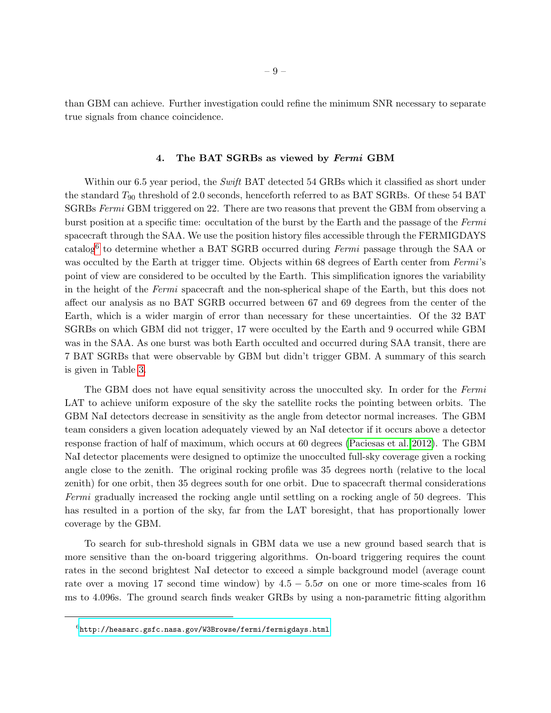than GBM can achieve. Further investigation could refine the minimum SNR necessary to separate true signals from chance coincidence.

#### 4. The BAT SGRBs as viewed by Fermi GBM

Within our 6.5 year period, the Swift BAT detected 54 GRBs which it classified as short under the standard  $T_{90}$  threshold of 2.0 seconds, henceforth referred to as BAT SGRBs. Of these 54 BAT SGRBs Fermi GBM triggered on 22. There are two reasons that prevent the GBM from observing a burst position at a specific time: occultation of the burst by the Earth and the passage of the Fermi spacecraft through the SAA. We use the position history files accessible through the FERMIGDAYS catalog<sup>[6](#page-10-0)</sup> to determine whether a BAT SGRB occurred during *Fermi* passage through the SAA or was occulted by the Earth at trigger time. Objects within 68 degrees of Earth center from Fermi's point of view are considered to be occulted by the Earth. This simplification ignores the variability in the height of the Fermi spacecraft and the non-spherical shape of the Earth, but this does not affect our analysis as no BAT SGRB occurred between 67 and 69 degrees from the center of the Earth, which is a wider margin of error than necessary for these uncertainties. Of the 32 BAT SGRBs on which GBM did not trigger, 17 were occulted by the Earth and 9 occurred while GBM was in the SAA. As one burst was both Earth occulted and occurred during SAA transit, there are 7 BAT SGRBs that were observable by GBM but didn't trigger GBM. A summary of this search is given in Table [3.](#page-19-0)

The GBM does not have equal sensitivity across the unocculted sky. In order for the Fermi LAT to achieve uniform exposure of the sky the satellite rocks the pointing between orbits. The GBM NaI detectors decrease in sensitivity as the angle from detector normal increases. The GBM team considers a given location adequately viewed by an NaI detector if it occurs above a detector response fraction of half of maximum, which occurs at 60 degrees [\(Paciesas et al. 2012\)](#page-21-19). The GBM NaI detector placements were designed to optimize the unocculted full-sky coverage given a rocking angle close to the zenith. The original rocking profile was 35 degrees north (relative to the local zenith) for one orbit, then 35 degrees south for one orbit. Due to spacecraft thermal considerations Fermi gradually increased the rocking angle until settling on a rocking angle of 50 degrees. This has resulted in a portion of the sky, far from the LAT boresight, that has proportionally lower coverage by the GBM.

To search for sub-threshold signals in GBM data we use a new ground based search that is more sensitive than the on-board triggering algorithms. On-board triggering requires the count rates in the second brightest NaI detector to exceed a simple background model (average count rate over a moving 17 second time window) by  $4.5 - 5.5\sigma$  on one or more time-scales from 16 ms to 4.096s. The ground search finds weaker GRBs by using a non-parametric fitting algorithm

<span id="page-10-0"></span> $^6$ <http://heasarc.gsfc.nasa.gov/W3Browse/fermi/fermigdays.html>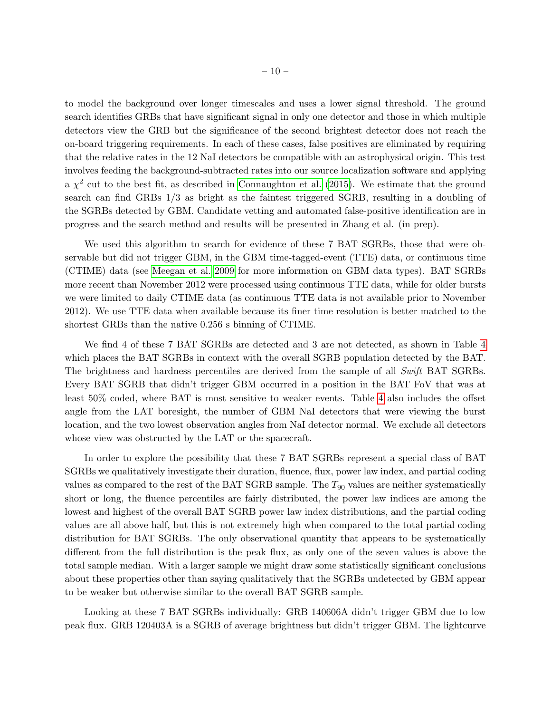to model the background over longer timescales and uses a lower signal threshold. The ground search identifies GRBs that have significant signal in only one detector and those in which multiple detectors view the GRB but the significance of the second brightest detector does not reach the on-board triggering requirements. In each of these cases, false positives are eliminated by requiring that the relative rates in the 12 NaI detectors be compatible with an astrophysical origin. This test involves feeding the background-subtracted rates into our source localization software and applying a  $\chi^2$  cut to the best fit, as described in [Connaughton et al.](#page-21-18) [\(2015\)](#page-21-18). We estimate that the ground search can find GRBs 1/3 as bright as the faintest triggered SGRB, resulting in a doubling of the SGRBs detected by GBM. Candidate vetting and automated false-positive identification are in progress and the search method and results will be presented in Zhang et al. (in prep).

We used this algorithm to search for evidence of these 7 BAT SGRBs, those that were observable but did not trigger GBM, in the GBM time-tagged-event (TTE) data, or continuous time (CTIME) data (see [Meegan et al. 2009](#page-21-17) for more information on GBM data types). BAT SGRBs more recent than November 2012 were processed using continuous TTE data, while for older bursts we were limited to daily CTIME data (as continuous TTE data is not available prior to November 2012). We use TTE data when available because its finer time resolution is better matched to the shortest GRBs than the native 0.256 s binning of CTIME.

We find 4 of these 7 BAT SGRBs are detected and 3 are not detected, as shown in Table [4](#page-20-0) which places the BAT SGRBs in context with the overall SGRB population detected by the BAT. The brightness and hardness percentiles are derived from the sample of all Swift BAT SGRBs. Every BAT SGRB that didn't trigger GBM occurred in a position in the BAT FoV that was at least 50% coded, where BAT is most sensitive to weaker events. Table [4](#page-20-0) also includes the offset angle from the LAT boresight, the number of GBM NaI detectors that were viewing the burst location, and the two lowest observation angles from NaI detector normal. We exclude all detectors whose view was obstructed by the LAT or the spacecraft.

In order to explore the possibility that these 7 BAT SGRBs represent a special class of BAT SGRBs we qualitatively investigate their duration, fluence, flux, power law index, and partial coding values as compared to the rest of the BAT SGRB sample. The  $T_{90}$  values are neither systematically short or long, the fluence percentiles are fairly distributed, the power law indices are among the lowest and highest of the overall BAT SGRB power law index distributions, and the partial coding values are all above half, but this is not extremely high when compared to the total partial coding distribution for BAT SGRBs. The only observational quantity that appears to be systematically different from the full distribution is the peak flux, as only one of the seven values is above the total sample median. With a larger sample we might draw some statistically significant conclusions about these properties other than saying qualitatively that the SGRBs undetected by GBM appear to be weaker but otherwise similar to the overall BAT SGRB sample.

Looking at these 7 BAT SGRBs individually: GRB 140606A didn't trigger GBM due to low peak flux. GRB 120403A is a SGRB of average brightness but didn't trigger GBM. The lightcurve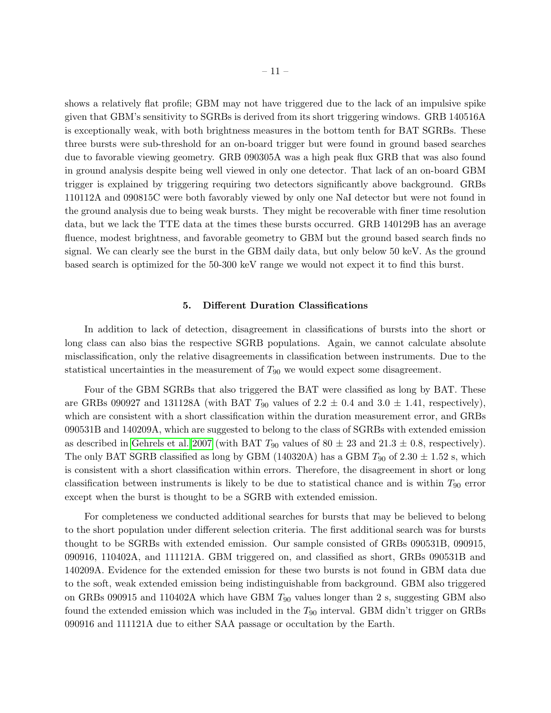shows a relatively flat profile; GBM may not have triggered due to the lack of an impulsive spike given that GBM's sensitivity to SGRBs is derived from its short triggering windows. GRB 140516A is exceptionally weak, with both brightness measures in the bottom tenth for BAT SGRBs. These three bursts were sub-threshold for an on-board trigger but were found in ground based searches due to favorable viewing geometry. GRB 090305A was a high peak flux GRB that was also found in ground analysis despite being well viewed in only one detector. That lack of an on-board GBM trigger is explained by triggering requiring two detectors significantly above background. GRBs 110112A and 090815C were both favorably viewed by only one NaI detector but were not found in the ground analysis due to being weak bursts. They might be recoverable with finer time resolution data, but we lack the TTE data at the times these bursts occurred. GRB 140129B has an average fluence, modest brightness, and favorable geometry to GBM but the ground based search finds no signal. We can clearly see the burst in the GBM daily data, but only below 50 keV. As the ground based search is optimized for the 50-300 keV range we would not expect it to find this burst.

#### 5. Different Duration Classifications

In addition to lack of detection, disagreement in classifications of bursts into the short or long class can also bias the respective SGRB populations. Again, we cannot calculate absolute misclassification, only the relative disagreements in classification between instruments. Due to the statistical uncertainties in the measurement of  $T_{90}$  we would expect some disagreement.

Four of the GBM SGRBs that also triggered the BAT were classified as long by BAT. These are GRBs 090927 and 131128A (with BAT  $T_{90}$  values of 2.2  $\pm$  0.4 and 3.0  $\pm$  1.41, respectively), which are consistent with a short classification within the duration measurement error, and GRBs 090531B and 140209A, which are suggested to belong to the class of SGRBs with extended emission as described in [Gehrels et al. 2007](#page-21-23) (with BAT  $T_{90}$  values of 80  $\pm$  23 and 21.3  $\pm$  0.8, respectively). The only BAT SGRB classified as long by GBM (140320A) has a GBM  $T_{90}$  of 2.30  $\pm$  1.52 s, which is consistent with a short classification within errors. Therefore, the disagreement in short or long classification between instruments is likely to be due to statistical chance and is within  $T_{90}$  error except when the burst is thought to be a SGRB with extended emission.

For completeness we conducted additional searches for bursts that may be believed to belong to the short population under different selection criteria. The first additional search was for bursts thought to be SGRBs with extended emission. Our sample consisted of GRBs 090531B, 090915, 090916, 110402A, and 111121A. GBM triggered on, and classified as short, GRBs 090531B and 140209A. Evidence for the extended emission for these two bursts is not found in GBM data due to the soft, weak extended emission being indistinguishable from background. GBM also triggered on GRBs 090915 and 110402A which have GBM  $T_{90}$  values longer than 2 s, suggesting GBM also found the extended emission which was included in the  $T_{90}$  interval. GBM didn't trigger on GRBs 090916 and 111121A due to either SAA passage or occultation by the Earth.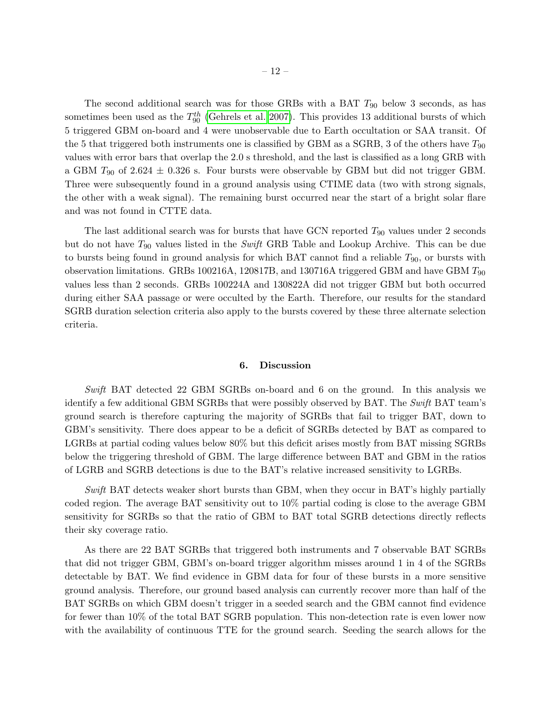The second additional search was for those GRBs with a BAT  $T_{90}$  below 3 seconds, as has sometimes been used as the  $T_{90}^{th}$  [\(Gehrels et al. 2007\)](#page-21-23). This provides 13 additional bursts of which 5 triggered GBM on-board and 4 were unobservable due to Earth occultation or SAA transit. Of the 5 that triggered both instruments one is classified by GBM as a SGRB, 3 of the others have  $T_{90}$ values with error bars that overlap the 2.0 s threshold, and the last is classified as a long GRB with a GBM  $T_{90}$  of 2.624  $\pm$  0.326 s. Four bursts were observable by GBM but did not trigger GBM. Three were subsequently found in a ground analysis using CTIME data (two with strong signals, the other with a weak signal). The remaining burst occurred near the start of a bright solar flare and was not found in CTTE data.

The last additional search was for bursts that have GCN reported  $T_{90}$  values under 2 seconds but do not have  $T_{90}$  values listed in the *Swift* GRB Table and Lookup Archive. This can be due to bursts being found in ground analysis for which BAT cannot find a reliable  $T_{90}$ , or bursts with observation limitations. GRBs 100216A, 120817B, and 130716A triggered GBM and have GBM  $T_{90}$ values less than 2 seconds. GRBs 100224A and 130822A did not trigger GBM but both occurred during either SAA passage or were occulted by the Earth. Therefore, our results for the standard SGRB duration selection criteria also apply to the bursts covered by these three alternate selection criteria.

#### 6. Discussion

Swift BAT detected 22 GBM SGRBs on-board and 6 on the ground. In this analysis we identify a few additional GBM SGRBs that were possibly observed by BAT. The Swift BAT team's ground search is therefore capturing the majority of SGRBs that fail to trigger BAT, down to GBM's sensitivity. There does appear to be a deficit of SGRBs detected by BAT as compared to LGRBs at partial coding values below 80% but this deficit arises mostly from BAT missing SGRBs below the triggering threshold of GBM. The large difference between BAT and GBM in the ratios of LGRB and SGRB detections is due to the BAT's relative increased sensitivity to LGRBs.

Swift BAT detects weaker short bursts than GBM, when they occur in BAT's highly partially coded region. The average BAT sensitivity out to 10% partial coding is close to the average GBM sensitivity for SGRBs so that the ratio of GBM to BAT total SGRB detections directly reflects their sky coverage ratio.

As there are 22 BAT SGRBs that triggered both instruments and 7 observable BAT SGRBs that did not trigger GBM, GBM's on-board trigger algorithm misses around 1 in 4 of the SGRBs detectable by BAT. We find evidence in GBM data for four of these bursts in a more sensitive ground analysis. Therefore, our ground based analysis can currently recover more than half of the BAT SGRBs on which GBM doesn't trigger in a seeded search and the GBM cannot find evidence for fewer than 10% of the total BAT SGRB population. This non-detection rate is even lower now with the availability of continuous TTE for the ground search. Seeding the search allows for the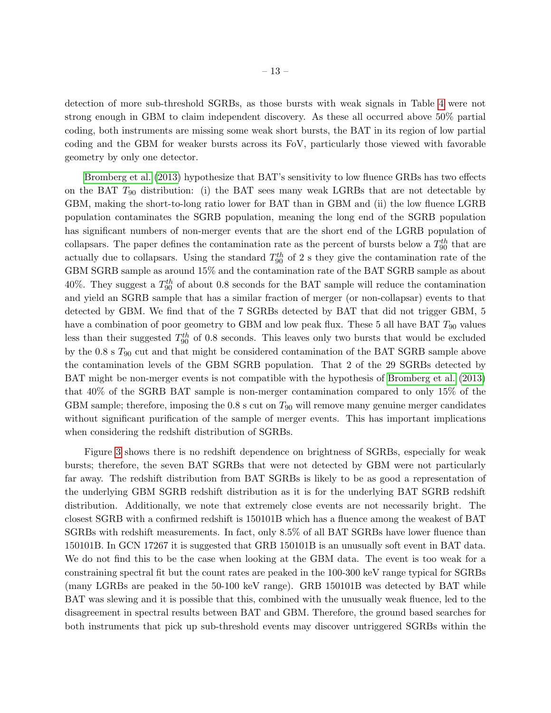detection of more sub-threshold SGRBs, as those bursts with weak signals in Table [4](#page-20-0) were not strong enough in GBM to claim independent discovery. As these all occurred above 50% partial coding, both instruments are missing some weak short bursts, the BAT in its region of low partial coding and the GBM for weaker bursts across its FoV, particularly those viewed with favorable geometry by only one detector.

[Bromberg et al.](#page-21-24) [\(2013\)](#page-21-24) hypothesize that BAT's sensitivity to low fluence GRBs has two effects on the BAT  $T_{90}$  distribution: (i) the BAT sees many weak LGRBs that are not detectable by GBM, making the short-to-long ratio lower for BAT than in GBM and (ii) the low fluence LGRB population contaminates the SGRB population, meaning the long end of the SGRB population has significant numbers of non-merger events that are the short end of the LGRB population of collapsars. The paper defines the contamination rate as the percent of bursts below a  $T_{90}^{th}$  that are actually due to collapsars. Using the standard  $T_{90}^{th}$  of 2 s they give the contamination rate of the GBM SGRB sample as around 15% and the contamination rate of the BAT SGRB sample as about 40%. They suggest a  $T_{90}^{th}$  of about 0.8 seconds for the BAT sample will reduce the contamination and yield an SGRB sample that has a similar fraction of merger (or non-collapsar) events to that detected by GBM. We find that of the 7 SGRBs detected by BAT that did not trigger GBM, 5 have a combination of poor geometry to GBM and low peak flux. These 5 all have BAT  $T_{90}$  values less than their suggested  $T_{90}^{th}$  of 0.8 seconds. This leaves only two bursts that would be excluded by the  $0.8$  s  $T_{90}$  cut and that might be considered contamination of the BAT SGRB sample above the contamination levels of the GBM SGRB population. That 2 of the 29 SGRBs detected by BAT might be non-merger events is not compatible with the hypothesis of [Bromberg et al.](#page-21-24) [\(2013\)](#page-21-24) that 40% of the SGRB BAT sample is non-merger contamination compared to only 15% of the GBM sample; therefore, imposing the  $0.8$  s cut on  $T_{90}$  will remove many genuine merger candidates without significant purification of the sample of merger events. This has important implications when considering the redshift distribution of SGRBs.

Figure [3](#page-20-1) shows there is no redshift dependence on brightness of SGRBs, especially for weak bursts; therefore, the seven BAT SGRBs that were not detected by GBM were not particularly far away. The redshift distribution from BAT SGRBs is likely to be as good a representation of the underlying GBM SGRB redshift distribution as it is for the underlying BAT SGRB redshift distribution. Additionally, we note that extremely close events are not necessarily bright. The closest SGRB with a confirmed redshift is 150101B which has a fluence among the weakest of BAT SGRBs with redshift measurements. In fact, only 8.5% of all BAT SGRBs have lower fluence than 150101B. In GCN 17267 it is suggested that GRB 150101B is an unusually soft event in BAT data. We do not find this to be the case when looking at the GBM data. The event is too weak for a constraining spectral fit but the count rates are peaked in the 100-300 keV range typical for SGRBs (many LGRBs are peaked in the 50-100 keV range). GRB 150101B was detected by BAT while BAT was slewing and it is possible that this, combined with the unusually weak fluence, led to the disagreement in spectral results between BAT and GBM. Therefore, the ground based searches for both instruments that pick up sub-threshold events may discover untriggered SGRBs within the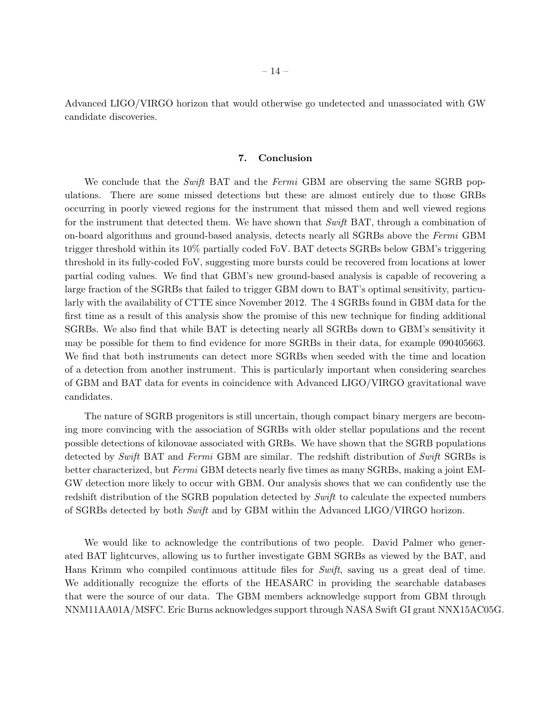Advanced LIGO/VIRGO horizon that would otherwise go undetected and unassociated with GW candidate discoveries.

#### 7. Conclusion

We conclude that the Swift BAT and the Fermi GBM are observing the same SGRB populations. There are some missed detections but these are almost entirely due to those GRBs occurring in poorly viewed regions for the instrument that missed them and well viewed regions for the instrument that detected them. We have shown that Swift BAT, through a combination of on-board algorithms and ground-based analysis, detects nearly all SGRBs above the Fermi GBM trigger threshold within its 10% partially coded FoV. BAT detects SGRBs below GBM's triggering threshold in its fully-coded FoV, suggesting more bursts could be recovered from locations at lower partial coding values. We find that GBM's new ground-based analysis is capable of recovering a large fraction of the SGRBs that failed to trigger GBM down to BAT's optimal sensitivity, particularly with the availability of CTTE since November 2012. The 4 SGRBs found in GBM data for the first time as a result of this analysis show the promise of this new technique for finding additional SGRBs. We also find that while BAT is detecting nearly all SGRBs down to GBM's sensitivity it may be possible for them to find evidence for more SGRBs in their data, for example 090405663. We find that both instruments can detect more SGRBs when seeded with the time and location of a detection from another instrument. This is particularly important when considering searches of GBM and BAT data for events in coincidence with Advanced LIGO/VIRGO gravitational wave candidates.

The nature of SGRB progenitors is still uncertain, though compact binary mergers are becoming more convincing with the association of SGRBs with older stellar populations and the recent possible detections of kilonovae associated with GRBs. We have shown that the SGRB populations detected by Swift BAT and Fermi GBM are similar. The redshift distribution of Swift SGRBs is better characterized, but Fermi GBM detects nearly five times as many SGRBs, making a joint EM-GW detection more likely to occur with GBM. Our analysis shows that we can confidently use the redshift distribution of the SGRB population detected by Swift to calculate the expected numbers of SGRBs detected by both Swift and by GBM within the Advanced LIGO/VIRGO horizon.

We would like to acknowledge the contributions of two people. David Palmer who generated BAT lightcurves, allowing us to further investigate GBM SGRBs as viewed by the BAT, and Hans Krimm who compiled continuous attitude files for Swift, saving us a great deal of time. We additionally recognize the efforts of the HEASARC in providing the searchable databases that were the source of our data. The GBM members acknowledge support from GBM through NNM11AA01A/MSFC. Eric Burns acknowledges support through NASA Swift GI grant NNX15AC05G.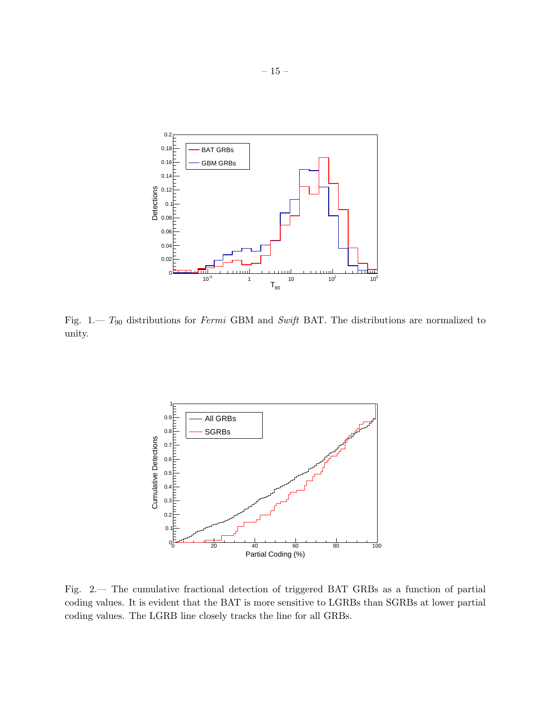

<span id="page-16-0"></span>Fig. 1.—  $T_{90}$  distributions for *Fermi* GBM and *Swift* BAT. The distributions are normalized to unity.



<span id="page-16-1"></span>Fig. 2.— The cumulative fractional detection of triggered BAT GRBs as a function of partial coding values. It is evident that the BAT is more sensitive to LGRBs than SGRBs at lower partial coding values. The LGRB line closely tracks the line for all GRBs.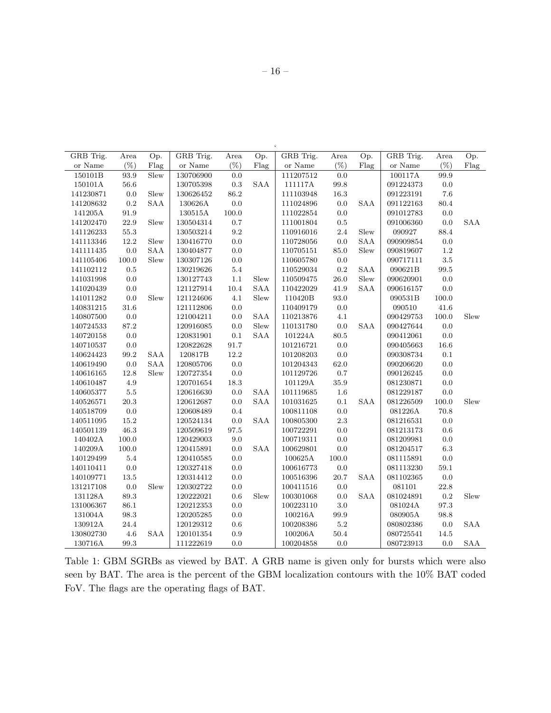| GRB Trig. | Area     | Op.                  | GRB Trig.     | Area        | Op.        | GRB Trig. | Area      | Op.        | GRB Trig. | Area     | Op.                  |
|-----------|----------|----------------------|---------------|-------------|------------|-----------|-----------|------------|-----------|----------|----------------------|
| or Name   | $(\%)$   | Flag                 | or Name       | $(\%)$      | Flag       | or Name   | $(\%)$    | Flag       | or Name   | $(\% )$  | Flag                 |
| 150101B   | 93.9     | Slew                 | 130706900     | 0.0         |            | 111207512 | $0.0\,$   |            | 100117A   | 99.9     |                      |
| 150101A   | 56.6     |                      | 130705398     | $\rm 0.3$   | SAA        | 111117A   | 99.8      |            | 091224373 | 0.0      |                      |
| 141230871 | $0.0\,$  | Slew                 | 130626452     | $86.2\,$    |            | 111103948 | $16.3\,$  |            | 091223191 | 7.6      |                      |
| 141208632 | 0.2      | SAA                  | 130626A       | $0.0\,$     |            | 111024896 | $0.0\,$   | <b>SAA</b> | 091122163 | 80.4     |                      |
| 141205A   | 91.9     |                      | 130515A       | $100.0\,$   |            | 111022854 | $0.0\,$   |            | 091012783 | 0.0      |                      |
| 141202470 | $22.9\,$ | Slew                 | 130504314     | $0.7\,$     |            | 111001804 | $0.5\,$   |            | 091006360 | $0.0\,$  | <b>SAA</b>           |
| 141126233 | $55.3\,$ |                      | 130503214     | $\ \, 9.2$  |            | 110916016 | $2.4\,$   | Slew       | 090927    | 88.4     |                      |
| 141113346 | 12.2     | ${\rm Slew}$         | 130416770     | $0.0\,$     |            | 110728056 | $0.0\,$   | SAA        | 090909854 | 0.0      |                      |
| 141111435 | $0.0\,$  | SAA                  | 130404877     | $0.0\,$     |            | 110705151 | $85.0\,$  | Slew       | 090819607 | 1.2      |                      |
| 141105406 | 100.0    | Slew                 | $130307126\,$ | $0.0\,$     |            | 110605780 | $0.0\,$   |            | 090717111 | 3.5      |                      |
| 141102112 | $0.5\,$  |                      | 130219626     | $5.4\,$     |            | 110529034 | $\rm 0.2$ | SAA        | 090621B   | 99.5     |                      |
| 141031998 | 0.0      |                      | 130127743     | $1.1\,$     | Slew       | 110509475 | 26.0      | Slew       | 090620901 | 0.0      |                      |
| 141020439 | $0.0\,$  |                      | 121127914     | $10.4\,$    | SAA        | 110422029 | 41.9      | SAA        | 090616157 | 0.0      |                      |
| 141011282 | $0.0\,$  | Slew                 | 121124606     | 4.1         | Slew       | 110420B   | $93.0\,$  |            | 090531B   | 100.0    |                      |
| 140831215 | 31.6     |                      | 121112806     | $0.0\,$     |            | 110409179 | $0.0\,$   |            | 090510    | 41.6     |                      |
| 140807500 | 0.0      |                      | 121004211     | 0.0         | SAA        | 110213876 | $4.1\,$   |            | 090429753 | 100.0    | Slew                 |
| 140724533 | 87.2     |                      | 120916085     | 0.0         | Slew       | 110131780 | $0.0\,$   | SAA        | 090427644 | 0.0      |                      |
| 140720158 | $0.0\,$  |                      | 120831901     | $0.1\,$     | SAA        | 101224A   | 80.5      |            | 090412061 | $0.0\,$  |                      |
| 140710537 | $0.0\,$  |                      | 120822628     | $91.7\,$    |            | 101216721 | $0.0\,$   |            | 090405663 | 16.6     |                      |
| 140624423 | 99.2     | $\operatorname{SAA}$ | 120817B       | 12.2        |            | 101208203 | $0.0\,$   |            | 090308734 | $0.1\,$  |                      |
| 140619490 | $0.0\,$  | SAA                  | 120805706     | $0.0\,$     |            | 101204343 | $62.0\,$  |            | 090206620 | 0.0      |                      |
| 140616165 | 12.8     | Slew                 | 120727354     | $0.0\,$     |            | 101129726 | $0.7\,$   |            | 090126245 | 0.0      |                      |
| 140610487 | 4.9      |                      | 120701654     | 18.3        |            | 101129A   | $35.9\,$  |            | 081230871 | 0.0      |                      |
| 140605377 | $5.5\,$  |                      | 120616630     | $0.0\,$     | SAA        | 101119685 | $1.6\,$   |            | 081229187 | $0.0\,$  |                      |
| 140526571 | 20.3     |                      | 120612687     | 0.0         | <b>SAA</b> | 101031625 | $0.1\,$   | SAA        | 081226509 | 100.0    | ${\rm Slew}$         |
| 140518709 | $0.0\,$  |                      | 120608489     | $0.4\,$     |            | 100811108 | $0.0\,$   |            | 081226A   | 70.8     |                      |
| 140511095 | 15.2     |                      | 120524134     | $0.0\,$     | SAA        | 100805300 | $2.3\,$   |            | 081216531 | 0.0      |                      |
| 140501139 | 46.3     |                      | 120509619     | $\bf{97.5}$ |            | 100722291 | $0.0\,$   |            | 081213173 | 0.6      |                      |
| 140402A   | 100.0    |                      | 120429003     | $9.0\,$     |            | 100719311 | $0.0\,$   |            | 081209981 | 0.0      |                      |
| 140209A   | 100.0    |                      | 120415891     | 0.0         | <b>SAA</b> | 100629801 | $0.0\,$   |            | 081204517 | 6.3      |                      |
| 140129499 | 5.4      |                      | 120410585     | $0.0\,$     |            | 100625A   | 100.0     |            | 081115891 | $0.0\,$  |                      |
| 140110411 | $0.0\,$  |                      | 120327418     | $0.0\,$     |            | 100616773 | $0.0\,$   |            | 081113230 | $59.1\,$ |                      |
| 140109771 | 13.5     |                      | 120314412     | $0.0\,$     |            | 100516396 | $20.7\,$  | SAA        | 081102365 | 0.0      |                      |
| 131217108 | $0.0\,$  | Slew                 | 120302722     | 0.0         |            | 100411516 | $0.0\,$   |            | 081101    | 22.8     |                      |
| 131128A   | $89.3\,$ |                      | 120222021     | 0.6         | Slew       | 100301068 | $0.0\,$   | SAA        | 081024891 | $0.2\,$  | Slew                 |
| 131006367 | $86.1\,$ |                      | 120212353     | $0.0\,$     |            | 100223110 | $3.0\,$   |            | 081024A   | 97.3     |                      |
| 131004A   | 98.3     |                      | 120205285     | $0.0\,$     |            | 100216A   | 99.9      |            | 080905A   | 98.8     |                      |
| 130912A   | 24.4     |                      | 120129312     | 0.6         |            | 100208386 | $5.2\,$   |            | 080802386 | 0.0      | <b>SAA</b>           |
| 130802730 | $4.6\,$  | <b>SAA</b>           | 120101354     | $0.9\,$     |            | 100206A   | $50.4\,$  |            | 080725541 | 14.5     |                      |
| 130716A   | $99.3\,$ |                      | 111222619     | 0.0         |            | 100204858 | 0.0       |            | 080723913 | 0.0      | $\operatorname{SAA}$ |

<span id="page-17-0"></span>Table 1: GBM SGRBs as viewed by BAT. A GRB name is given only for bursts which were also seen by BAT. The area is the percent of the GBM localization contours with the 10% BAT coded FoV. The flags are the operating flags of BAT.

 $\zeta$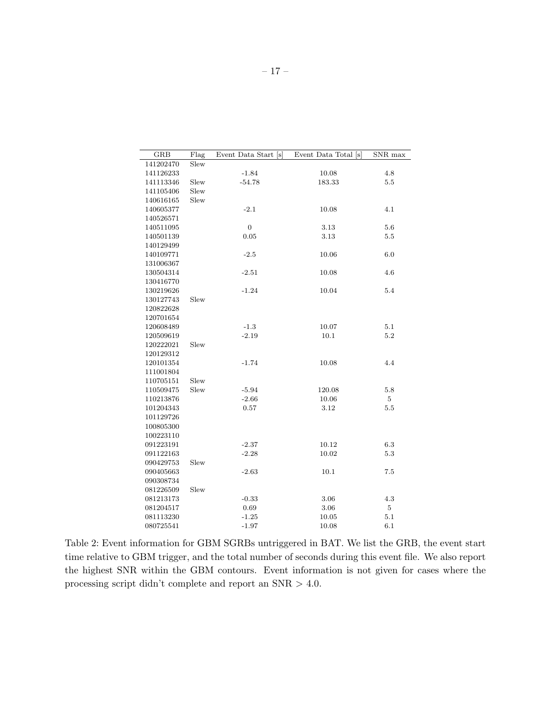| <b>GRB</b> | Flag | Event Data Start [s] | Event Data Total [s] | SNR max        |
|------------|------|----------------------|----------------------|----------------|
| 141202470  | Slew |                      |                      |                |
| 141126233  |      | $-1.84$              | 10.08                | 4.8            |
| 141113346  | Slew | $-54.78$             | 183.33               | $5.5\,$        |
| 141105406  | Slew |                      |                      |                |
| 140616165  | Slew |                      |                      |                |
| 140605377  |      | $-2.1$               | 10.08                | 4.1            |
| 140526571  |      |                      |                      |                |
| 140511095  |      | $\overline{0}$       | 3.13                 | 5.6            |
| 140501139  |      | 0.05                 | 3.13                 | 5.5            |
| 140129499  |      |                      |                      |                |
| 140109771  |      | $-2.5$               | 10.06                | 6.0            |
| 131006367  |      |                      |                      |                |
| 130504314  |      | $-2.51$              | 10.08                | 4.6            |
| 130416770  |      |                      |                      |                |
| 130219626  |      | $-1.24$              | 10.04                | 5.4            |
| 130127743  | Slew |                      |                      |                |
| 120822628  |      |                      |                      |                |
| 120701654  |      |                      |                      |                |
| 120608489  |      | $-1.3$               | 10.07                | 5.1            |
| 120509619  |      | $-2.19$              | 10.1                 | 5.2            |
| 120222021  | Slew |                      |                      |                |
| 120129312  |      |                      |                      |                |
| 120101354  |      | $-1.74$              | 10.08                | 4.4            |
| 111001804  |      |                      |                      |                |
| 110705151  | Slew |                      |                      |                |
| 110509475  | Slew | $-5.94$              | 120.08               | 5.8            |
| 110213876  |      | $-2.66$              | 10.06                | 5              |
| 101204343  |      | 0.57                 | 3.12                 | 5.5            |
| 101129726  |      |                      |                      |                |
| 100805300  |      |                      |                      |                |
| 100223110  |      |                      |                      |                |
| 091223191  |      | $-2.37$              | 10.12                | $6.3\,$        |
| 091122163  |      | $-2.28$              | 10.02                | 5.3            |
| 090429753  | Slew |                      |                      |                |
| 090405663  |      | $-2.63$              | 10.1                 | 7.5            |
| 090308734  |      |                      |                      |                |
| 081226509  | Slew |                      |                      |                |
| 081213173  |      | $-0.33$              | 3.06                 | 4.3            |
| 081204517  |      | 0.69                 | 3.06                 | $\overline{5}$ |
| 081113230  |      | $-1.25$              | 10.05                | 5.1            |
| 080725541  |      | $-1.97$              | 10.08                | 6.1            |

<span id="page-18-0"></span>Table 2: Event information for GBM SGRBs untriggered in BAT. We list the GRB, the event start time relative to GBM trigger, and the total number of seconds during this event file. We also report the highest SNR within the GBM contours. Event information is not given for cases where the processing script didn't complete and report an SNR > 4.0.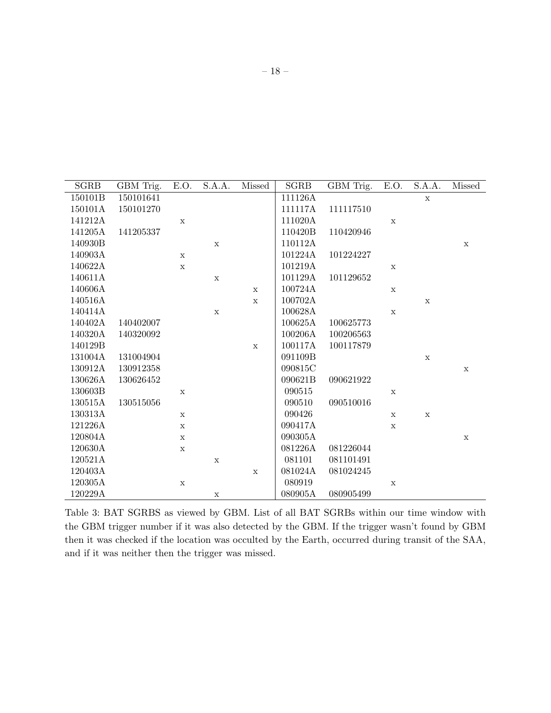| <b>SGRB</b> | GBM Trig. | E.O.        | S.A.A.      | Missed      | <b>SGRB</b> | GBM Trig. | E.O.        | S.A.A.       | Missed      |
|-------------|-----------|-------------|-------------|-------------|-------------|-----------|-------------|--------------|-------------|
| 150101B     | 150101641 |             |             |             | 111126A     |           |             | $\mathbf X$  |             |
| 150101A     | 150101270 |             |             |             | 111117A     | 111117510 |             |              |             |
| 141212A     |           | $\mathbf X$ |             |             | 111020A     |           | $\mathbf X$ |              |             |
| 141205A     | 141205337 |             |             |             | 110420B     | 110420946 |             |              |             |
| 140930B     |           |             | $\mathbf X$ |             | 110112A     |           |             |              | $\mathbf X$ |
| 140903A     |           | $\mathbf x$ |             |             | 101224A     | 101224227 |             |              |             |
| 140622A     |           | $\mathbf X$ |             |             | 101219A     |           | $\mathbf X$ |              |             |
| 140611A     |           |             | $\mathbf X$ |             | 101129A     | 101129652 |             |              |             |
| 140606A     |           |             |             | X           | 100724A     |           | $\mathbf X$ |              |             |
| 140516A     |           |             |             | $\mathbf X$ | 100702A     |           |             | $\mathbf X$  |             |
| 140414A     |           |             | $\mathbf X$ |             | 100628A     |           | $\mathbf X$ |              |             |
| 140402A     | 140402007 |             |             |             | 100625A     | 100625773 |             |              |             |
| 140320A     | 140320092 |             |             |             | 100206A     | 100206563 |             |              |             |
| 140129B     |           |             |             | $\mathbf X$ | 100117A     | 100117879 |             |              |             |
| 131004A     | 131004904 |             |             |             | 091109B     |           |             | $\mathbf{x}$ |             |
| 130912A     | 130912358 |             |             |             | 090815C     |           |             |              | $\mathbf X$ |
| 130626A     | 130626452 |             |             |             | 090621B     | 090621922 |             |              |             |
| 130603B     |           | X           |             |             | 090515      |           | $\mathbf X$ |              |             |
| 130515A     | 130515056 |             |             |             | 090510      | 090510016 |             |              |             |
| 130313A     |           | $\mathbf X$ |             |             | 090426      |           | $\mathbf X$ | $\mathbf X$  |             |
| 121226A     |           | $\mathbf X$ |             |             | 090417A     |           | $\mathbf x$ |              |             |
| 120804A     |           | $\mathbf x$ |             |             | 090305A     |           |             |              | $\mathbf X$ |
| 120630A     |           | $\mathbf X$ |             |             | 081226A     | 081226044 |             |              |             |
| 120521A     |           |             | $\mathbf X$ |             | 081101      | 081101491 |             |              |             |
| 120403A     |           |             |             | $\mathbf X$ | 081024A     | 081024245 |             |              |             |
| 120305A     |           | $\mathbf X$ |             |             | 080919      |           | $\mathbf X$ |              |             |
| 120229A     |           |             | X           |             | 080905A     | 080905499 |             |              |             |

<span id="page-19-0"></span>Table 3: BAT SGRBS as viewed by GBM. List of all BAT SGRBs within our time window with the GBM trigger number if it was also detected by the GBM. If the trigger wasn't found by GBM then it was checked if the location was occulted by the Earth, occurred during transit of the SAA, and if it was neither then the trigger was missed.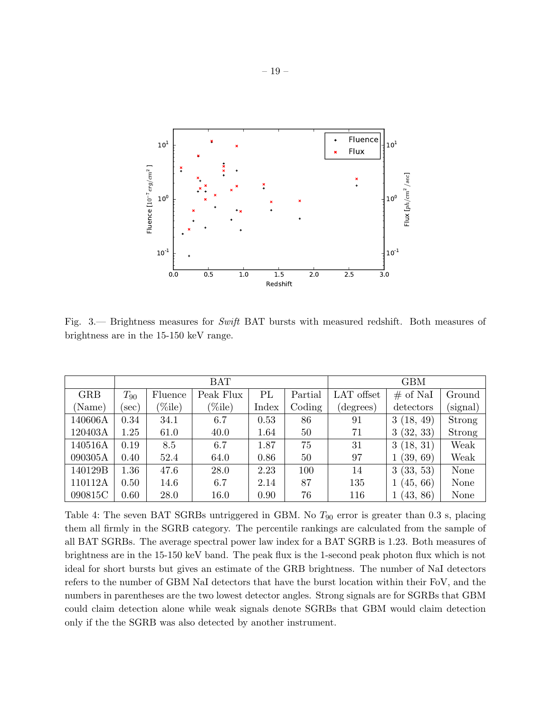

<span id="page-20-1"></span>Fig. 3.— Brightness measures for Swift BAT bursts with measured redshift. Both measures of brightness are in the 15-150 keV range.

|            |          |         | <b>BAT</b> | <b>GBM</b> |         |            |               |          |
|------------|----------|---------|------------|------------|---------|------------|---------------|----------|
| <b>GRB</b> | $T_{90}$ | Fluence | Peak Flux  | PL         | Partial | LAT offset | $\#$ of NaI   | Ground   |
| (Name)     | sec)     | (%ile)  | $(\%$ ile) | Index      | Coding  | (degrees)  | detectors     | (signal) |
| 140606A    | 0.34     | 34.1    | 6.7        | 0.53       | 86      | 91         | (18, 49)<br>3 | Strong   |
| 120403A    | 1.25     | 61.0    | 40.0       | 1.64       | 50      | 71         | (32, 33)<br>3 | Strong   |
| 140516A    | 0.19     | 8.5     | 6.7        | 1.87       | 75      | 31         | (18, 31)<br>3 | Weak     |
| 090305A    | 0.40     | 52.4    | 64.0       | 0.86       | 50      | 97         | (39, 69)      | Weak     |
| 140129B    | 1.36     | 47.6    | 28.0       | 2.23       | 100     | 14         | 3(33, 53)     | None     |
| 110112A    | 0.50     | 14.6    | 6.7        | 2.14       | 87      | 135        | (45, 66)      | None     |
| 090815C    | 0.60     | 28.0    | 16.0       | 0.90       | 76      | 116        | (43, 86)      | None     |

<span id="page-20-0"></span>Table 4: The seven BAT SGRBs untriggered in GBM. No  $T_{90}$  error is greater than 0.3 s, placing them all firmly in the SGRB category. The percentile rankings are calculated from the sample of all BAT SGRBs. The average spectral power law index for a BAT SGRB is 1.23. Both measures of brightness are in the 15-150 keV band. The peak flux is the 1-second peak photon flux which is not ideal for short bursts but gives an estimate of the GRB brightness. The number of NaI detectors refers to the number of GBM NaI detectors that have the burst location within their FoV, and the numbers in parentheses are the two lowest detector angles. Strong signals are for SGRBs that GBM could claim detection alone while weak signals denote SGRBs that GBM would claim detection only if the the SGRB was also detected by another instrument.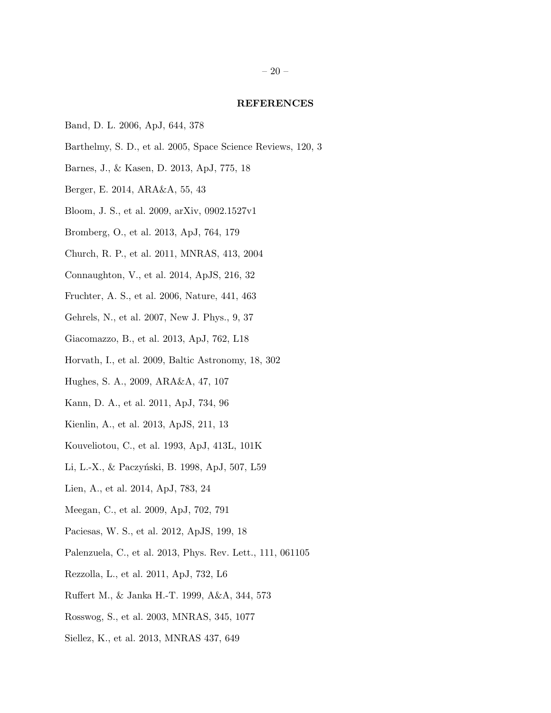#### REFERENCES

- <span id="page-21-12"></span>Band, D. L. 2006, ApJ, 644, 378
- <span id="page-21-21"></span>Barthelmy, S. D., et al. 2005, Space Science Reviews, 120, 3
- <span id="page-21-10"></span>Barnes, J., & Kasen, D. 2013, ApJ, 775, 18
- <span id="page-21-4"></span>Berger, E. 2014, ARA&A, 55, 43
- <span id="page-21-13"></span>Bloom, J. S., et al. 2009, arXiv, 0902.1527v1
- <span id="page-21-24"></span>Bromberg, O., et al. 2013, ApJ, 764, 179
- <span id="page-21-3"></span>Church, R. P., et al. 2011, MNRAS, 413, 2004
- <span id="page-21-18"></span>Connaughton, V., et al. 2014, ApJS, 216, 32
- <span id="page-21-1"></span>Fruchter, A. S., et al. 2006, Nature, 441, 463
- <span id="page-21-23"></span>Gehrels, N., et al. 2007, New J. Phys., 9, 37
- <span id="page-21-8"></span>Giacomazzo, B., et al. 2013, ApJ, 762, L18
- <span id="page-21-11"></span>Horvath, I., et al. 2009, Baltic Astronomy, 18, 302
- <span id="page-21-15"></span>Hughes, S. A., 2009, ARA&A, 47, 107
- <span id="page-21-2"></span>Kann, D. A., et al. 2011, ApJ, 734, 96
- <span id="page-21-20"></span>Kienlin, A., et al. 2013, ApJS, 211, 13
- <span id="page-21-0"></span>Kouveliotou, C., et al. 1993, ApJ, 413L, 101K
- <span id="page-21-9"></span>Li, L.-X., & Paczyński, B. 1998, ApJ, 507, L59
- <span id="page-21-22"></span>Lien, A., et al. 2014, ApJ, 783, 24
- <span id="page-21-17"></span>Meegan, C., et al. 2009, ApJ, 702, 791
- <span id="page-21-19"></span>Paciesas, W. S., et al. 2012, ApJS, 199, 18
- <span id="page-21-14"></span>Palenzuela, C., et al. 2013, Phys. Rev. Lett., 111, 061105
- <span id="page-21-7"></span>Rezzolla, L., et al. 2011, ApJ, 732, L6
- <span id="page-21-5"></span>Ruffert M., & Janka H.-T. 1999, A&A, 344, 573
- <span id="page-21-6"></span>Rosswog, S., et al. 2003, MNRAS, 345, 1077
- <span id="page-21-16"></span>Siellez, K., et al. 2013, MNRAS 437, 649